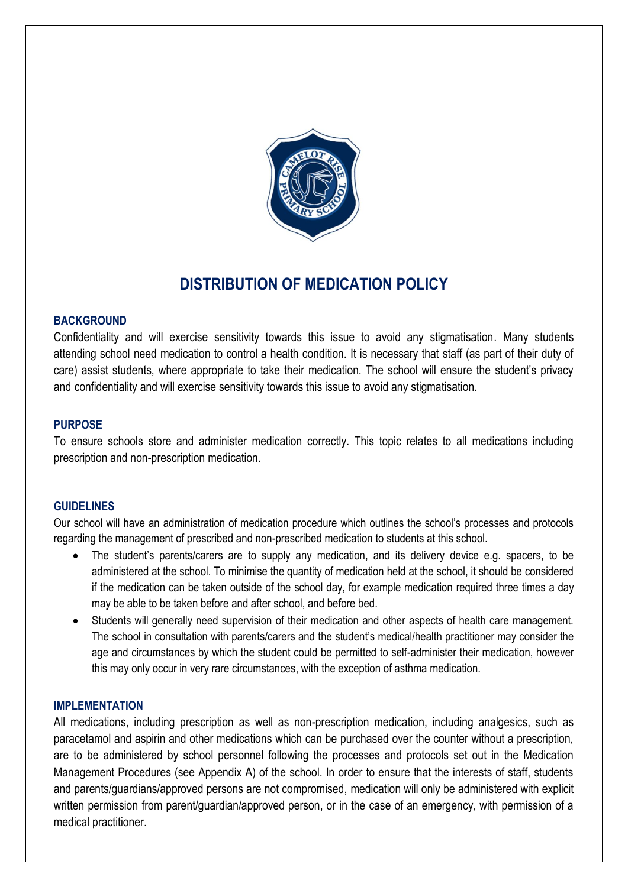

# **DISTRIBUTION OF MEDICATION POLICY**

# **BACKGROUND**

Confidentiality and will exercise sensitivity towards this issue to avoid any stigmatisation. Many students attending school need medication to control a health condition. It is necessary that staff (as part of their duty of care) assist students, where appropriate to take their medication. The school will ensure the student's privacy and confidentiality and will exercise sensitivity towards this issue to avoid any stigmatisation.

## **PURPOSE**

To ensure schools store and administer medication correctly. This topic relates to all medications including prescription and non-prescription medication.

## **GUIDELINES**

Our school will have an administration of medication procedure which outlines the school's processes and protocols regarding the management of prescribed and non-prescribed medication to students at this school.

- The student's parents/carers are to supply any medication, and its delivery device e.g. spacers, to be administered at the school. To minimise the quantity of medication held at the school, it should be considered if the medication can be taken outside of the school day, for example medication required three times a day may be able to be taken before and after school, and before bed.
- Students will generally need supervision of their medication and other aspects of health care management. The school in consultation with parents/carers and the student's medical/health practitioner may consider the age and circumstances by which the student could be permitted to self-administer their medication, however this may only occur in very rare circumstances, with the exception of asthma medication.

## **IMPLEMENTATION**

All medications, including prescription as well as non-prescription medication, including analgesics, such as paracetamol and aspirin and other medications which can be purchased over the counter without a prescription, are to be administered by school personnel following the processes and protocols set out in the Medication Management Procedures (see Appendix A) of the school. In order to ensure that the interests of staff, students and parents/guardians/approved persons are not compromised, medication will only be administered with explicit written permission from parent/guardian/approved person, or in the case of an emergency, with permission of a medical practitioner.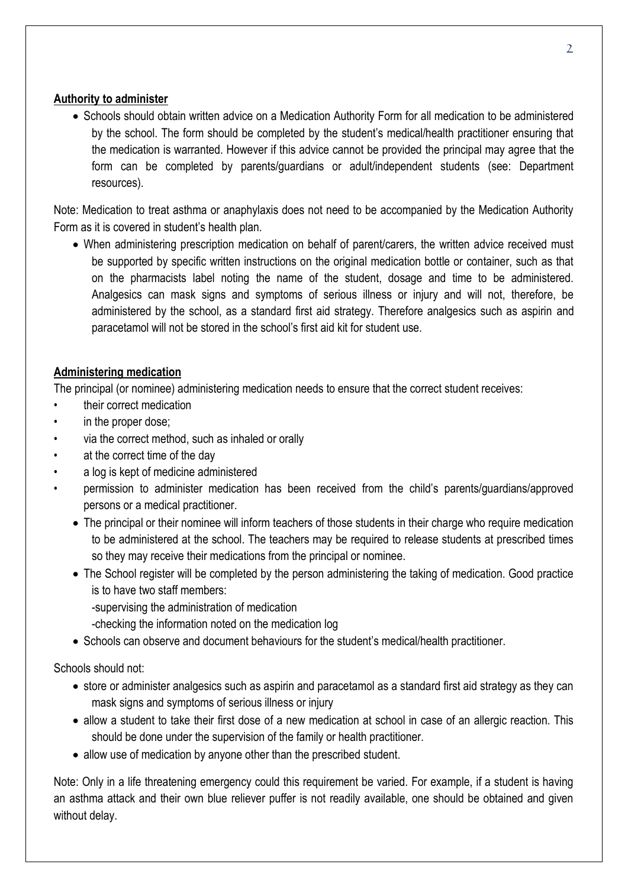# **Authority to administer**

• Schools should obtain written advice on a Medication Authority Form for all medication to be administered by the school. The form should be completed by the student's medical/health practitioner ensuring that the medication is warranted. However if this advice cannot be provided the principal may agree that the form can be completed by parents/guardians or adult/independent students (see: Department resources).

Note: Medication to treat asthma or anaphylaxis does not need to be accompanied by the Medication Authority Form as it is covered in student's health plan.

 When administering prescription medication on behalf of parent/carers, the written advice received must be supported by specific written instructions on the original medication bottle or container, such as that on the pharmacists label noting the name of the student, dosage and time to be administered. Analgesics can mask signs and symptoms of serious illness or injury and will not, therefore, be administered by the school, as a standard first aid strategy. Therefore analgesics such as aspirin and paracetamol will not be stored in the school's first aid kit for student use.

# **Administering medication**

The principal (or nominee) administering medication needs to ensure that the correct student receives:

- their correct medication
- in the proper dose:
- via the correct method, such as inhaled or orally
- at the correct time of the day
- a log is kept of medicine administered
- permission to administer medication has been received from the child's parents/guardians/approved persons or a medical practitioner.
	- The principal or their nominee will inform teachers of those students in their charge who require medication to be administered at the school. The teachers may be required to release students at prescribed times so they may receive their medications from the principal or nominee.
	- The School register will be completed by the person administering the taking of medication. Good practice is to have two staff members:
		- -supervising the administration of medication
		- -checking the information noted on the medication log
	- Schools can observe and document behaviours for the student's medical/health practitioner.

Schools should not:

- store or administer analgesics such as aspirin and paracetamol as a standard first aid strategy as they can mask signs and symptoms of serious illness or injury
- allow a student to take their first dose of a new medication at school in case of an allergic reaction. This should be done under the supervision of the family or health practitioner.
- allow use of medication by anyone other than the prescribed student.

Note: Only in a life threatening emergency could this requirement be varied. For example, if a student is having an asthma attack and their own blue reliever puffer is not readily available, one should be obtained and given without delay.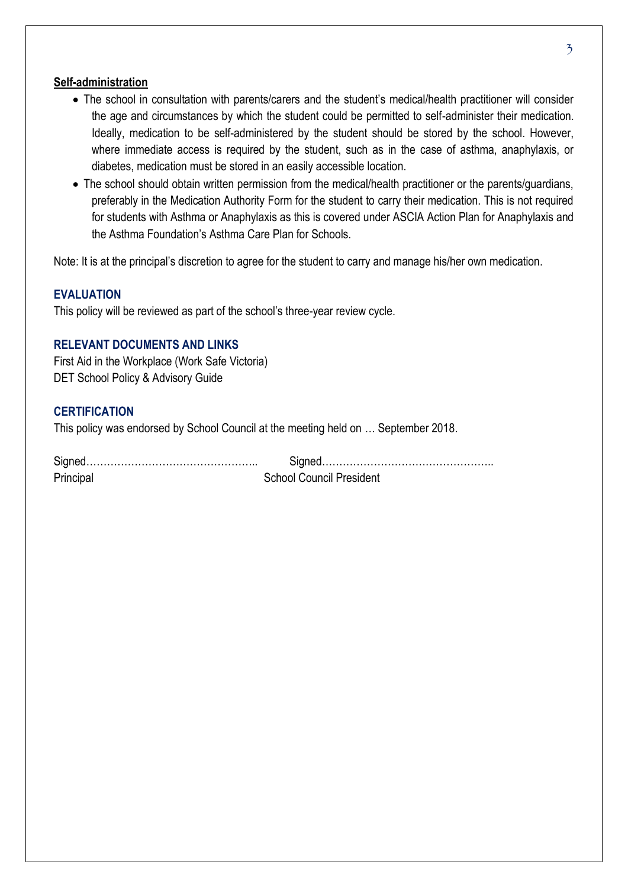## **Self-administration**

- The school in consultation with parents/carers and the student's medical/health practitioner will consider the age and circumstances by which the student could be permitted to self-administer their medication. Ideally, medication to be self-administered by the student should be stored by the school. However, where immediate access is required by the student, such as in the case of asthma, anaphylaxis, or diabetes, medication must be stored in an easily accessible location.
- The school should obtain written permission from the medical/health practitioner or the parents/guardians, preferably in the Medication Authority Form for the student to carry their medication. This is not required for students with Asthma or Anaphylaxis as this is covered under ASCIA Action Plan for Anaphylaxis and the Asthma Foundation's Asthma Care Plan for Schools.

Note: It is at the principal's discretion to agree for the student to carry and manage his/her own medication.

# **EVALUATION**

This policy will be reviewed as part of the school's three-year review cycle.

# **RELEVANT DOCUMENTS AND LINKS**

First Aid in the Workplace (Work Safe Victoria) DET School Policy & Advisory Guide

# **CERTIFICATION**

This policy was endorsed by School Council at the meeting held on … September 2018.

| Principal | <b>School Council President</b> |
|-----------|---------------------------------|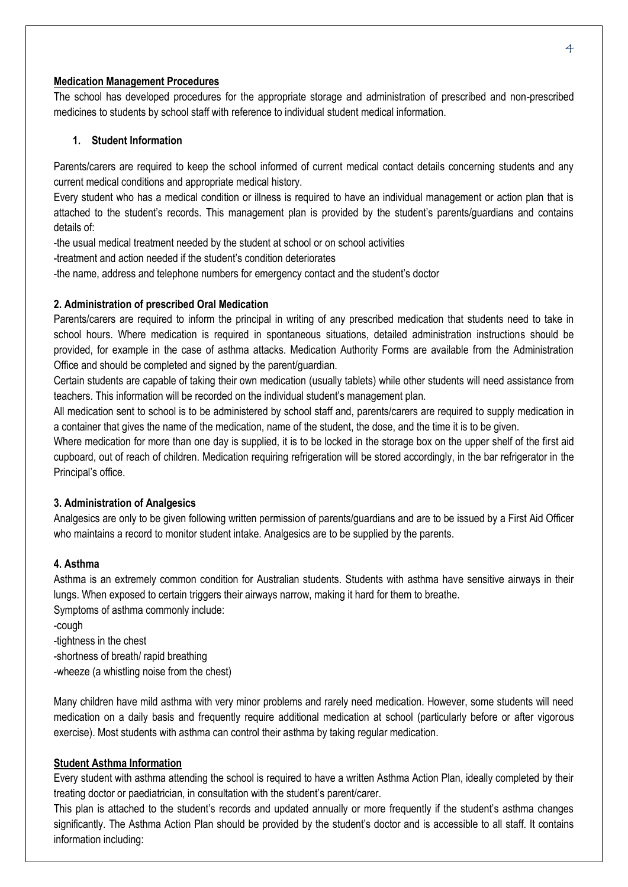#### **Medication Management Procedures**

The school has developed procedures for the appropriate storage and administration of prescribed and non-prescribed medicines to students by school staff with reference to individual student medical information.

## **1. Student Information**

Parents/carers are required to keep the school informed of current medical contact details concerning students and any current medical conditions and appropriate medical history.

Every student who has a medical condition or illness is required to have an individual management or action plan that is attached to the student's records. This management plan is provided by the student's parents/guardians and contains details of:

-the usual medical treatment needed by the student at school or on school activities

-treatment and action needed if the student's condition deteriorates

-the name, address and telephone numbers for emergency contact and the student's doctor

## **2. Administration of prescribed Oral Medication**

Parents/carers are required to inform the principal in writing of any prescribed medication that students need to take in school hours. Where medication is required in spontaneous situations, detailed administration instructions should be provided, for example in the case of asthma attacks. Medication Authority Forms are available from the Administration Office and should be completed and signed by the parent/guardian.

Certain students are capable of taking their own medication (usually tablets) while other students will need assistance from teachers. This information will be recorded on the individual student's management plan.

All medication sent to school is to be administered by school staff and, parents/carers are required to supply medication in a container that gives the name of the medication, name of the student, the dose, and the time it is to be given.

Where medication for more than one day is supplied, it is to be locked in the storage box on the upper shelf of the first aid cupboard, out of reach of children. Medication requiring refrigeration will be stored accordingly, in the bar refrigerator in the Principal's office.

#### **3. Administration of Analgesics**

Analgesics are only to be given following written permission of parents/guardians and are to be issued by a First Aid Officer who maintains a record to monitor student intake. Analgesics are to be supplied by the parents.

#### **4. Asthma**

Asthma is an extremely common condition for Australian students. Students with asthma have sensitive airways in their lungs. When exposed to certain triggers their airways narrow, making it hard for them to breathe.

Symptoms of asthma commonly include:

-cough -tightness in the chest

-shortness of breath/ rapid breathing

-wheeze (a whistling noise from the chest)

Many children have mild asthma with very minor problems and rarely need medication. However, some students will need medication on a daily basis and frequently require additional medication at school (particularly before or after vigorous exercise). Most students with asthma can control their asthma by taking regular medication.

#### **Student Asthma Information**

Every student with asthma attending the school is required to have a written Asthma Action Plan, ideally completed by their treating doctor or paediatrician, in consultation with the student's parent/carer.

This plan is attached to the student's records and updated annually or more frequently if the student's asthma changes significantly. The Asthma Action Plan should be provided by the student's doctor and is accessible to all staff. It contains information including: